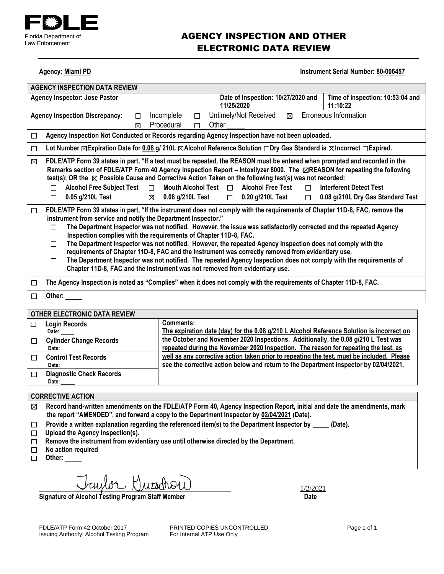

## AGENCY INSPECTION AND OTHER ELECTRONIC DATA REVIEW

**Agency: Miami PD Instrument Serial Number: 80-006457** 

| <b>AGENCY INSPECTION DATA REVIEW</b>                                                                                                                                                                                                                                 |                                                                                                                                                                                                                                                                                                                                                                                                     |
|----------------------------------------------------------------------------------------------------------------------------------------------------------------------------------------------------------------------------------------------------------------------|-----------------------------------------------------------------------------------------------------------------------------------------------------------------------------------------------------------------------------------------------------------------------------------------------------------------------------------------------------------------------------------------------------|
| <b>Agency Inspector: Jose Pastor</b>                                                                                                                                                                                                                                 | Date of Inspection: 10/27/2020 and<br>Time of Inspection: 10:53:04 and<br>11/25/2020<br>11:10:22                                                                                                                                                                                                                                                                                                    |
| Incomplete<br><b>Agency Inspection Discrepancy:</b><br>□<br>□<br>Procedural<br>П<br>⊠                                                                                                                                                                                | Untimely/Not Received<br>Erroneous Information<br>⊠<br>Other                                                                                                                                                                                                                                                                                                                                        |
| Agency Inspection Not Conducted or Records regarding Agency Inspection have not been uploaded.<br>П                                                                                                                                                                  |                                                                                                                                                                                                                                                                                                                                                                                                     |
| □                                                                                                                                                                                                                                                                    | Lot Number $\boxtimes$ Expiration Date for 0.08 g/ 210L $\boxtimes$ Alcohol Reference Solution $\Box$ Dry Gas Standard is $\boxtimes$ Incorrect $\Box$ Expired.                                                                                                                                                                                                                                     |
| ⊠<br>test(s); OR the $\boxtimes$ Possible Cause and Corrective Action Taken on the following test(s) was not recorded:<br><b>Alcohol Free Subject Test</b><br>Mouth Alcohol Test $\Box$<br>$\Box$<br>П<br>$0.05$ g/210L Test<br>0.08 g/210L Test<br>$\boxtimes$<br>□ | FDLE/ATP Form 39 states in part, "If a test must be repeated, the REASON must be entered when prompted and recorded in the<br>Remarks section of FDLE/ATP Form 40 Agency Inspection Report – Intoxilyzer 8000. The ⊠REASON for repeating the following<br><b>Alcohol Free Test</b><br><b>Interferent Detect Test</b><br>П<br>$\Box$ 0.20 g/210L Test<br>0.08 g/210L Dry Gas Standard Test<br>$\Box$ |
| □<br>instrument from service and notify the Department Inspector."<br>П<br>Inspection complies with the requirements of Chapter 11D-8, FAC.                                                                                                                          | FDLE/ATP Form 39 states in part, "If the instrument does not comply with the requirements of Chapter 11D-8, FAC, remove the<br>The Department Inspector was not notified. However, the issue was satisfactorily corrected and the repeated Agency                                                                                                                                                   |
| П<br>requirements of Chapter 11D-8, FAC and the instrument was correctly removed from evidentiary use.                                                                                                                                                               | The Department Inspector was not notified. However, the repeated Agency Inspection does not comply with the                                                                                                                                                                                                                                                                                         |
| П<br>Chapter 11D-8, FAC and the instrument was not removed from evidentiary use.                                                                                                                                                                                     | The Department Inspector was not notified. The repeated Agency Inspection does not comply with the requirements of                                                                                                                                                                                                                                                                                  |
| The Agency Inspection is noted as "Complies" when it does not comply with the requirements of Chapter 11D-8, FAC.<br>□                                                                                                                                               |                                                                                                                                                                                                                                                                                                                                                                                                     |
| Other:<br>П                                                                                                                                                                                                                                                          |                                                                                                                                                                                                                                                                                                                                                                                                     |
|                                                                                                                                                                                                                                                                      |                                                                                                                                                                                                                                                                                                                                                                                                     |

|        | OTHER ELECTRONIC DATA REVIEW    |                                                                                           |
|--------|---------------------------------|-------------------------------------------------------------------------------------------|
| П      | <b>Login Records</b>            | Comments:                                                                                 |
|        | Date:                           | The expiration date (day) for the 0.08 g/210 L Alcohol Reference Solution is incorrect on |
| $\Box$ | <b>Cylinder Change Records</b>  | the October and November 2020 Inspections. Additionally, the 0.08 g/210 L Test was        |
|        | Date:                           | repeated during the November 2020 Inspection. The reason for repeating the test, as       |
|        | <b>Control Test Records</b>     | well as any corrective action taken prior to repeating the test, must be included. Please |
|        | Date:                           | see the corrective action below and return to the Department Inspector by 02/04/2021.     |
| $\Box$ | <b>Diagnostic Check Records</b> |                                                                                           |
|        | Date:                           |                                                                                           |

#### **CORRECTIVE ACTION**

**Record hand-written amendments on the FDLE/ATP Form 40, Agency Inspection Report, initial and date the amendments, mark the report "AMENDED", and forward a copy to the Department Inspector by 02/04/2021 (Date).**

- Provide a written explanation regarding the referenced item(s) to the Department Inspector by \_\_\_\_\_ (Date).  $\Box$
- **Upload the Agency Inspection(s).**
- **Remove the instrument from evidentiary use until otherwise directed by the Department.**
- **No action required**
- □ Other:

 $\alpha$ uilor Hutschou

**Signature of Alcohol Testing Program Staff Member Date Constraining Date Date** 

Issuing Authority: Alcohol Testing Program

FDLE/ATP Form 42 October 2017 **PRINTED COPIES UNCONTROLLED** Page 1 of 1<br>
Issuing Authority: Alcohol Testing Program For Internal ATP Use Only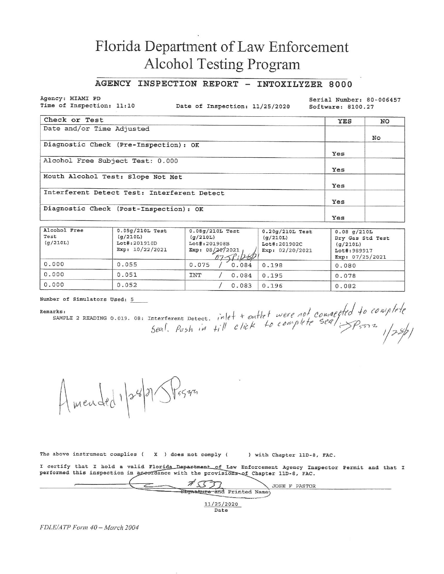# Florida Department of Law Enforcement **Alcohol Testing Program**

### AGENCY INSPECTION REPORT - INTOXILYZER 8000

Agency: MIAMI PD Time of Inspection: 11:10

Date of Inspection: 11/25/2020

Serial Number: 80-006457 Software: 8100.27

| Check or Test                               | YES | NO |
|---------------------------------------------|-----|----|
| Date and/or Time Adjusted                   |     |    |
|                                             |     | No |
| Diagnostic Check (Pre-Inspection): OK       |     |    |
|                                             | Yes |    |
| Alcohol Free Subject Test: 0.000            |     |    |
|                                             | Yes |    |
| Mouth Alcohol Test: Slope Not Met           |     |    |
|                                             | Yes |    |
| Interferent Detect Test: Interferent Detect |     |    |
|                                             | Yes |    |
| Diagnostic Check (Post-Inspection): OK      |     |    |
|                                             | Yes |    |

| Alcohol Free<br>Test<br>(q/210L) | $0.05g/210L$ Test<br>(q/210L)<br>Lot#:201910D<br>Exp: 10/22/2021 | $0.08q/210L$ Test<br>(g/210L)<br>Lot#:201908B<br>Exp: 08/20/2021<br>07591282 | $0.20g/210L$ Test<br>(q/210L)<br>Lot#:201902C<br>Exp: 02/20/2021 | $0.08$ q/210L<br>Dry Gas Std Test<br>(q/210L)<br>Lot#: 989917<br>Exp: $07/25/2021$ |
|----------------------------------|------------------------------------------------------------------|------------------------------------------------------------------------------|------------------------------------------------------------------|------------------------------------------------------------------------------------|
| 0.000                            | 0.055                                                            | 0.075<br>0.084                                                               | 0.198                                                            | 0.080                                                                              |
| 0.000                            | 0.051                                                            | <b>INT</b><br>0.084                                                          | 0.195                                                            | 0.078                                                                              |
| 0.000                            | 0.052                                                            | 0.083                                                                        | 0.196                                                            | 0.082                                                                              |

Number of Simulators Used: 5

Remarks:

arks:<br>sAMPLE 2 READING 0.019. 08: Interferent Detect. inlet t outlet were not completed to complete<br>Seal. Push in till click to complete seal. Prisons

Amended 1/28/21 SP5542

The above instrument complies  $(X)$  does not comply  $(X)$ ) with Chapter 11D-8, FAC.

I certify that I hold a valid Florida Department of Law Enforcement Agency Inspector Permit and that I performed this inspection in accordance with the provisions of Chapter 11D-8, FAC.

 $753$ JOSE F PASTOR Stgnature-and Printed Name 11/25/2020

Date

FDLE/ATP Form 40 - March 2004